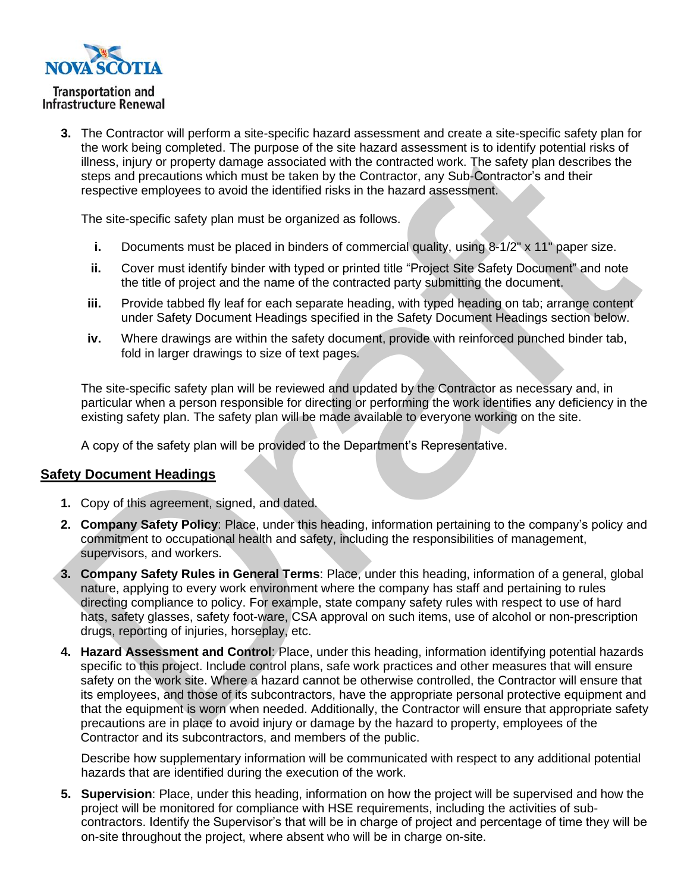**3.** The Contractor will perform a site-specific hazard assessment and create a site-specific safety plan for the work being completed. The purpose of the site hazard assessment is to identify potential risks of illness, injury or property damage associated with the contracted work. The safety plan describes the steps and precautions which must be taken by the Contractor, any Sub-Contractor's and their respective employees to avoid the identified risks in the hazard assessment.

The site-specific safety plan must be organized as follows.

- **i.** Documents must be placed in binders of commercial quality, using 8-1/2" x 11" paper size.
- **ii.** Cover must identify binder with typed or printed title "Project Site Safety Document" and note the title of project and the name of the contracted party submitting the document.
- **iii.** Provide tabbed fly leaf for each separate heading, with typed heading on tab; arrange content under Safety Document Headings specified in the Safety Document Headings section below.
- **iv.** Where drawings are within the safety document, provide with reinforced punched binder tab, fold in larger drawings to size of text pages.

The site-specific safety plan will be reviewed and updated by the Contractor as necessary and, in particular when a person responsible for directing or performing the work identifies any deficiency in the existing safety plan. The safety plan will be made available to everyone working on the site.

A copy of the safety plan will be provided to the Department's Representative.

## **Safety Document Headings**

- **1.** Copy of this agreement, signed, and dated.
- **2. Company Safety Policy**: Place, under this heading, information pertaining to the company's policy and commitment to occupational health and safety, including the responsibilities of management, supervisors, and workers.
- **3. Company Safety Rules in General Terms**: Place, under this heading, information of a general, global nature, applying to every work environment where the company has staff and pertaining to rules directing compliance to policy. For example, state company safety rules with respect to use of hard hats, safety glasses, safety foot-ware, CSA approval on such items, use of alcohol or non-prescription drugs, reporting of injuries, horseplay, etc.
- **4. Hazard Assessment and Control**: Place, under this heading, information identifying potential hazards specific to this project. Include control plans, safe work practices and other measures that will ensure safety on the work site. Where a hazard cannot be otherwise controlled, the Contractor will ensure that its employees, and those of its subcontractors, have the appropriate personal protective equipment and that the equipment is worn when needed. Additionally, the Contractor will ensure that appropriate safety precautions are in place to avoid injury or damage by the hazard to property, employees of the Contractor and its subcontractors, and members of the public.

Describe how supplementary information will be communicated with respect to any additional potential hazards that are identified during the execution of the work.

**5. Supervision**: Place, under this heading, information on how the project will be supervised and how the project will be monitored for compliance with HSE requirements, including the activities of subcontractors. Identify the Supervisor's that will be in charge of project and percentage of time they will be on-site throughout the project, where absent who will be in charge on-site.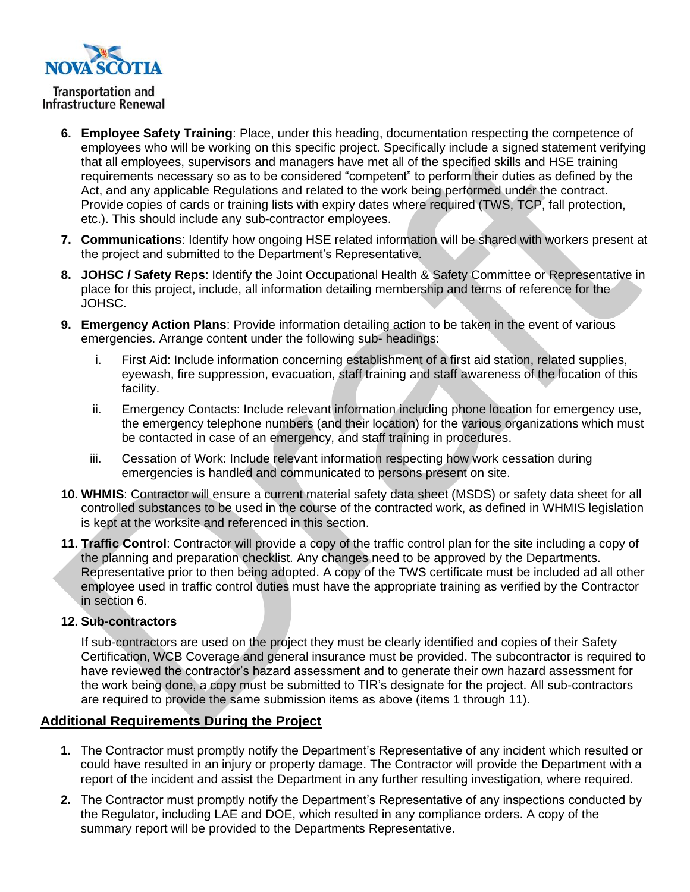

**Public Works** 

- **6. Employee Safety Training**: Place, under this heading, documentation respecting the competence of employees who will be working on this specific project. Specifically include a signed statement verifying that all employees, supervisors and managers have met all of the specified skills and HSE training requirements necessary so as to be considered "competent" to perform their duties as defined by the Act, and any applicable Regulations and related to the work being performed under the contract. Provide copies of cards or training lists with expiry dates where required (TWS, TCP, fall protection, etc.). This should include any sub-contractor employees.
- **7. Communications**: Identify how ongoing HSE related information will be shared with workers present at the project and submitted to the Department's Representative.
- **8. JOHSC / Safety Reps**: Identify the Joint Occupational Health & Safety Committee or Representative in place for this project, include, all information detailing membership and terms of reference for the JOHSC.
- **9. Emergency Action Plans**: Provide information detailing action to be taken in the event of various emergencies. Arrange content under the following sub- headings:
	- i. First Aid: Include information concerning establishment of a first aid station, related supplies, eyewash, fire suppression, evacuation, staff training and staff awareness of the location of this facility.
	- ii. Emergency Contacts: Include relevant information including phone location for emergency use, the emergency telephone numbers (and their location) for the various organizations which must be contacted in case of an emergency, and staff training in procedures.
	- iii. Cessation of Work: Include relevant information respecting how work cessation during emergencies is handled and communicated to persons present on site.
- **10. WHMIS**: Contractor will ensure a current material safety data sheet (MSDS) or safety data sheet for all controlled substances to be used in the course of the contracted work, as defined in WHMIS legislation is kept at the worksite and referenced in this section.
- **11. Traffic Control**: Contractor will provide a copy of the traffic control plan for the site including a copy of the planning and preparation checklist. Any changes need to be approved by the Departments. Representative prior to then being adopted. A copy of the TWS certificate must be included ad all other employee used in traffic control duties must have the appropriate training as verified by the Contractor in section 6.

## **12. Sub-contractors**

If sub-contractors are used on the project they must be clearly identified and copies of their Safety Certification, WCB Coverage and general insurance must be provided. The subcontractor is required to have reviewed the contractor's hazard assessment and to generate their own hazard assessment for the work being done, a copy must be submitted to TIR's designate for the project. All sub-contractors are required to provide the same submission items as above (items 1 through 11).

## **Additional Requirements During the Project**

- **1.** The Contractor must promptly notify the Department's Representative of any incident which resulted or could have resulted in an injury or property damage. The Contractor will provide the Department with a report of the incident and assist the Department in any further resulting investigation, where required.
- **2.** The Contractor must promptly notify the Department's Representative of any inspections conducted by the Regulator, including LAE and DOE, which resulted in any compliance orders. A copy of the summary report will be provided to the Departments Representative.